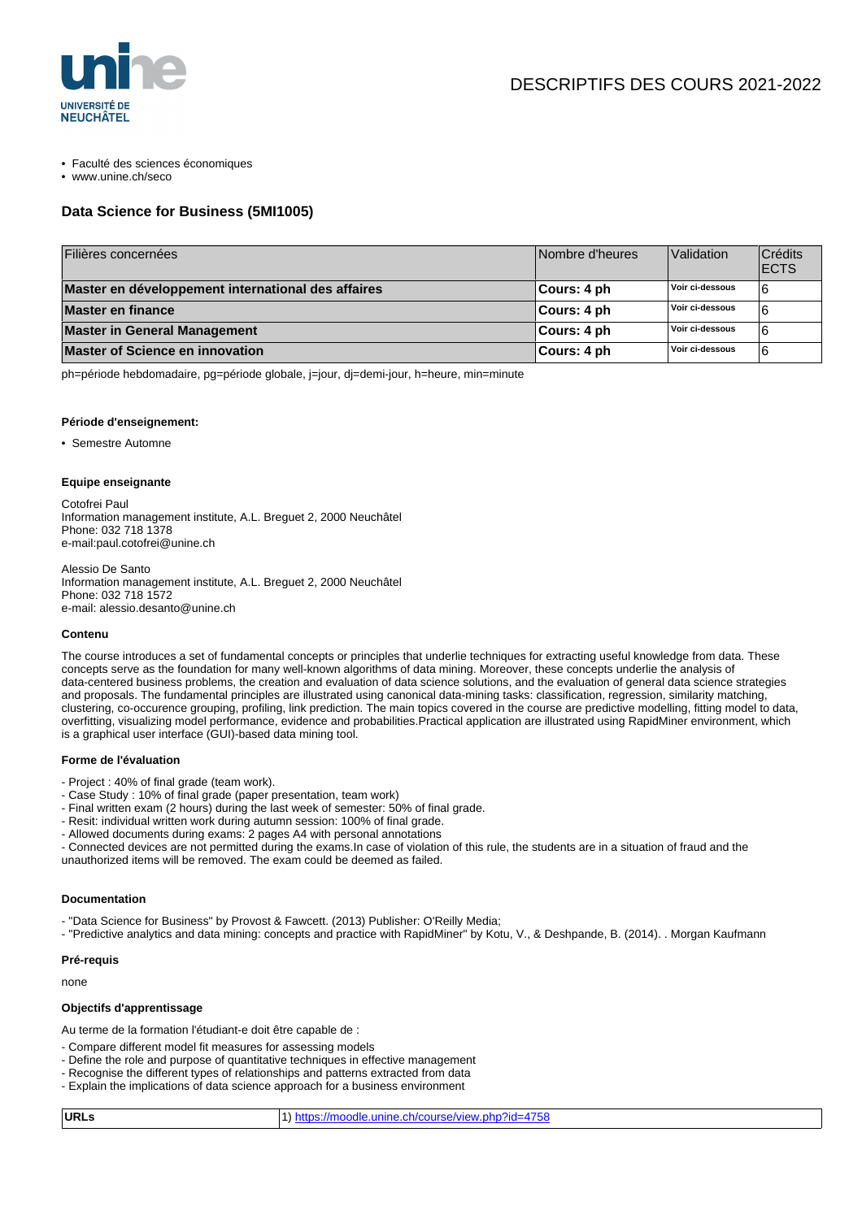

- Faculté des sciences économiques
- www.unine.ch/seco

## **Data Science for Business (5MI1005)**

| Filières concernées                                | Nombre d'heures | Validation      | Crédits<br><b>ECTS</b> |
|----------------------------------------------------|-----------------|-----------------|------------------------|
| Master en développement international des affaires | ∣Cours: 4 ph    | Voir ci-dessous |                        |
| Master en finance                                  | ∣Cours: 4 ph    | Voir ci-dessous |                        |
| <b>Master in General Management</b>                | ∣Cours: 4 ph    | Voir ci-dessous |                        |
| <b>Master of Science en innovation</b>             | ∣Cours: 4 ph    | Voir ci-dessous |                        |

ph=période hebdomadaire, pg=période globale, j=jour, dj=demi-jour, h=heure, min=minute

#### **Période d'enseignement:**

• Semestre Automne

#### **Equipe enseignante**

Cotofrei Paul Information management institute, A.L. Breguet 2, 2000 Neuchâtel Phone: 032 718 1378 e-mail:paul.cotofrei@unine.ch

Alessio De Santo Information management institute, A.L. Breguet 2, 2000 Neuchâtel Phone: 032 718 1572 e-mail: alessio.desanto@unine.ch

#### **Contenu**

The course introduces a set of fundamental concepts or principles that underlie techniques for extracting useful knowledge from data. These concepts serve as the foundation for many well-known algorithms of data mining. Moreover, these concepts underlie the analysis of data-centered business problems, the creation and evaluation of data science solutions, and the evaluation of general data science strategies and proposals. The fundamental principles are illustrated using canonical data-mining tasks: classification, regression, similarity matching, clustering, co-occurence grouping, profiling, link prediction. The main topics covered in the course are predictive modelling, fitting model to data, overfitting, visualizing model performance, evidence and probabilities.Practical application are illustrated using RapidMiner environment, which is a graphical user interface (GUI)-based data mining tool.

#### **Forme de l'évaluation**

- Project : 40% of final grade (team work).
- Case Study : 10% of final grade (paper presentation, team work)
- Final written exam (2 hours) during the last week of semester: 50% of final grade.
- Resit: individual written work during autumn session: 100% of final grade.
- Allowed documents during exams: 2 pages A4 with personal annotations
- Connected devices are not permitted during the exams.In case of violation of this rule, the students are in a situation of fraud and the unauthorized items will be removed. The exam could be deemed as failed.

# **Documentation**

- "Data Science for Business" by Provost & Fawcett. (2013) Publisher: O'Reilly Media;

- "Predictive analytics and data mining: concepts and practice with RapidMiner" by Kotu, V., & Deshpande, B. (2014). . Morgan Kaufmann

### **Pré-requis**

none

## **Objectifs d'apprentissage**

Au terme de la formation l'étudiant-e doit être capable de :

- Compare different model fit measures for assessing models
- Define the role and purpose of quantitative techniques in effective management
- Recognise the different types of relationships and patterns extracted from data
- Explain the implications of data science approach for a business environment

| URLs | 1) https://moodle.unine.ch/course/view.php?id=4758 |
|------|----------------------------------------------------|
|      |                                                    |